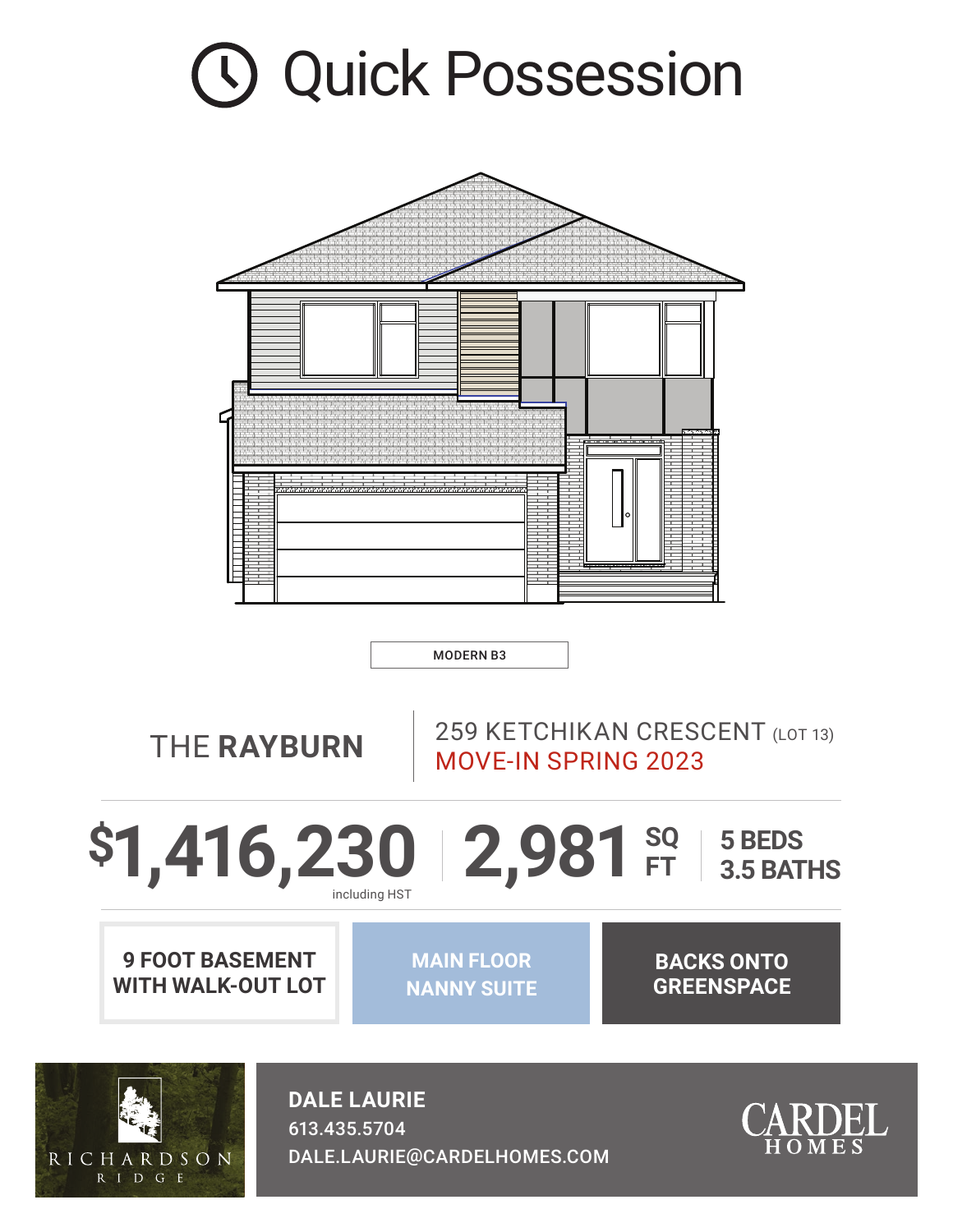